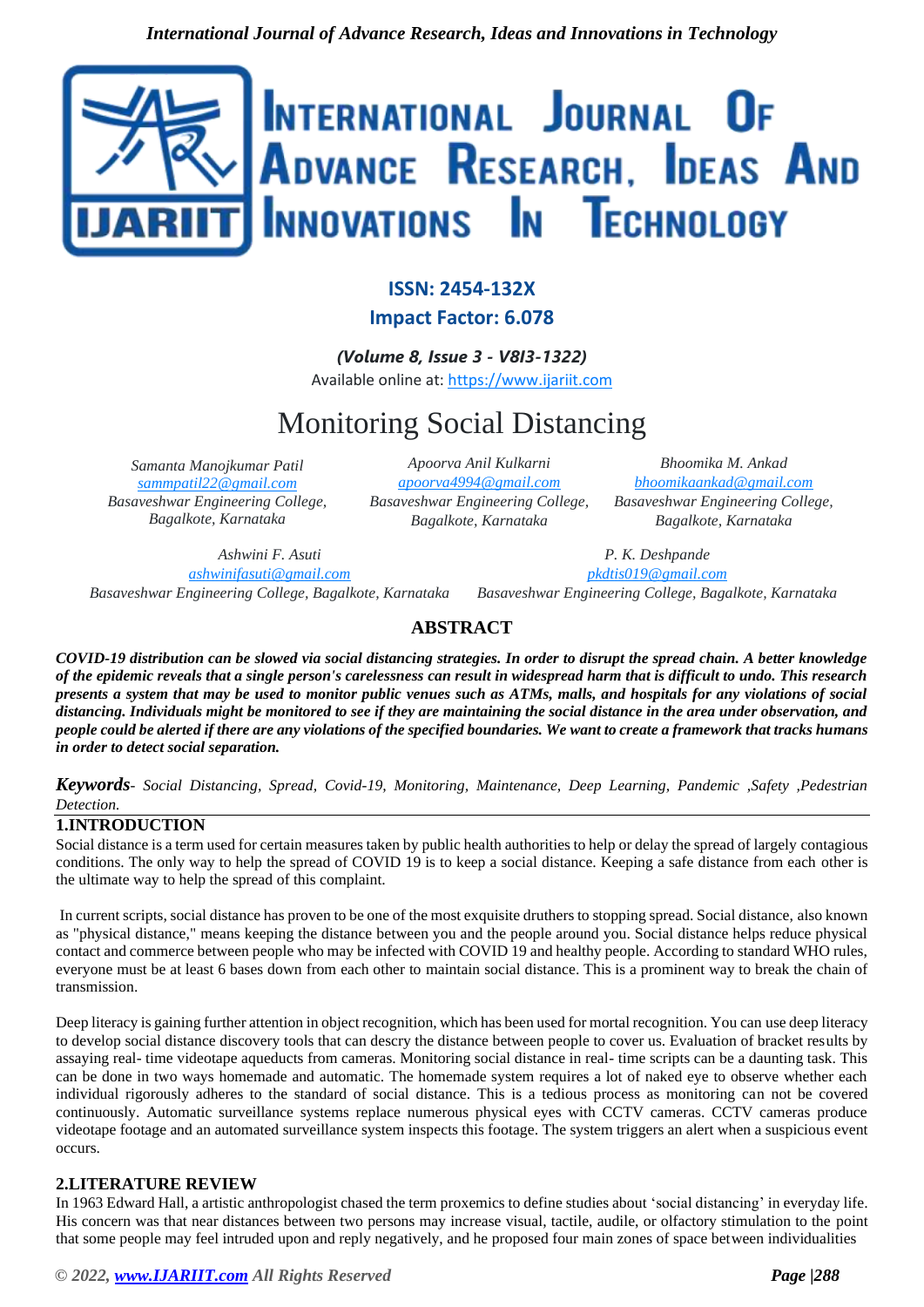

# **ISSN: 2454-132X**

**Impact Factor: 6.078**

*(Volume 8, Issue 3 - V8I3-1322)* Available online at: [https://www.ijariit.com](https://www.ijariit.com/?utm_source=pdf&utm_medium=edition&utm_campaign=OmAkSols&utm_term=V8I3-1322)

# Monitoring Social Distancing

*Samanta Manojkumar Patil [sammpatil22@gmail.com](mailto:sammpatil22@gmail.com) Basaveshwar Engineering College, Bagalkote, Karnataka*

*Apoorva Anil Kulkarni [apoorva4994@gmail.com](mailto:apoorva4994@gmail.com) Basaveshwar Engineering College, Bagalkote, Karnataka*

*Bhoomika M. Ankad [bhoomikaankad@gmail.com](mailto:bhoomikaankad@gmail.com) Basaveshwar Engineering College, Bagalkote, Karnataka*

*Ashwini F. Asuti [ashwinifasuti@gmail.com](mailto:ashwinifasuti@gmail.com) Basaveshwar Engineering College, Bagalkote, Karnataka*

*P. K. Deshpande [pkdtis019@gmail.com](mailto:pkdtis019@gmail.com) Basaveshwar Engineering College, Bagalkote, Karnataka*

*COVID-19 distribution can be slowed via social distancing strategies. In order to disrupt the spread chain. A better knowledge of the epidemic reveals that a single person's carelessness can result in widespread harm that is difficult to undo. This research presents a system that may be used to monitor public venues such as ATMs, malls, and hospitals for any violations of social distancing. Individuals might be monitored to see if they are maintaining the social distance in the area under observation, and people could be alerted if there are any violations of the specified boundaries. We want to create a framework that tracks humans in order to detect social separation.*

**ABSTRACT**

*Keywords*- *Social Distancing, Spread, Covid-19, Monitoring, Maintenance, Deep Learning, Pandemic ,Safety ,Pedestrian Detection.*

# **1.INTRODUCTION**

Social distance is a term used for certain measures taken by public health authorities to help or delay the spread of largely contagious conditions. The only way to help the spread of COVID 19 is to keep a social distance. Keeping a safe distance from each other is the ultimate way to help the spread of this complaint.

In current scripts, social distance has proven to be one of the most exquisite druthers to stopping spread. Social distance, also known as "physical distance," means keeping the distance between you and the people around you. Social distance helps reduce physical contact and commerce between people who may be infected with COVID 19 and healthy people. According to standard WHO rules, everyone must be at least 6 bases down from each other to maintain social distance. This is a prominent way to break the chain of transmission.

Deep literacy is gaining further attention in object recognition, which has been used for mortal recognition. You can use deep literacy to develop social distance discovery tools that can descry the distance between people to cover us. Evaluation of bracket results by assaying real- time videotape aqueducts from cameras. Monitoring social distance in real- time scripts can be a daunting task. This can be done in two ways homemade and automatic. The homemade system requires a lot of naked eye to observe whether each individual rigorously adheres to the standard of social distance. This is a tedious process as monitoring can not be covered continuously. Automatic surveillance systems replace numerous physical eyes with CCTV cameras. CCTV cameras produce videotape footage and an automated surveillance system inspects this footage. The system triggers an alert when a suspicious event occurs.

# **2.LITERATURE REVIEW**

In 1963 Edward Hall, a artistic anthropologist chased the term proxemics to define studies about 'social distancing' in everyday life. His concern was that near distances between two persons may increase visual, tactile, audile, or olfactory stimulation to the point that some people may feel intruded upon and reply negatively, and he proposed four main zones of space between individualities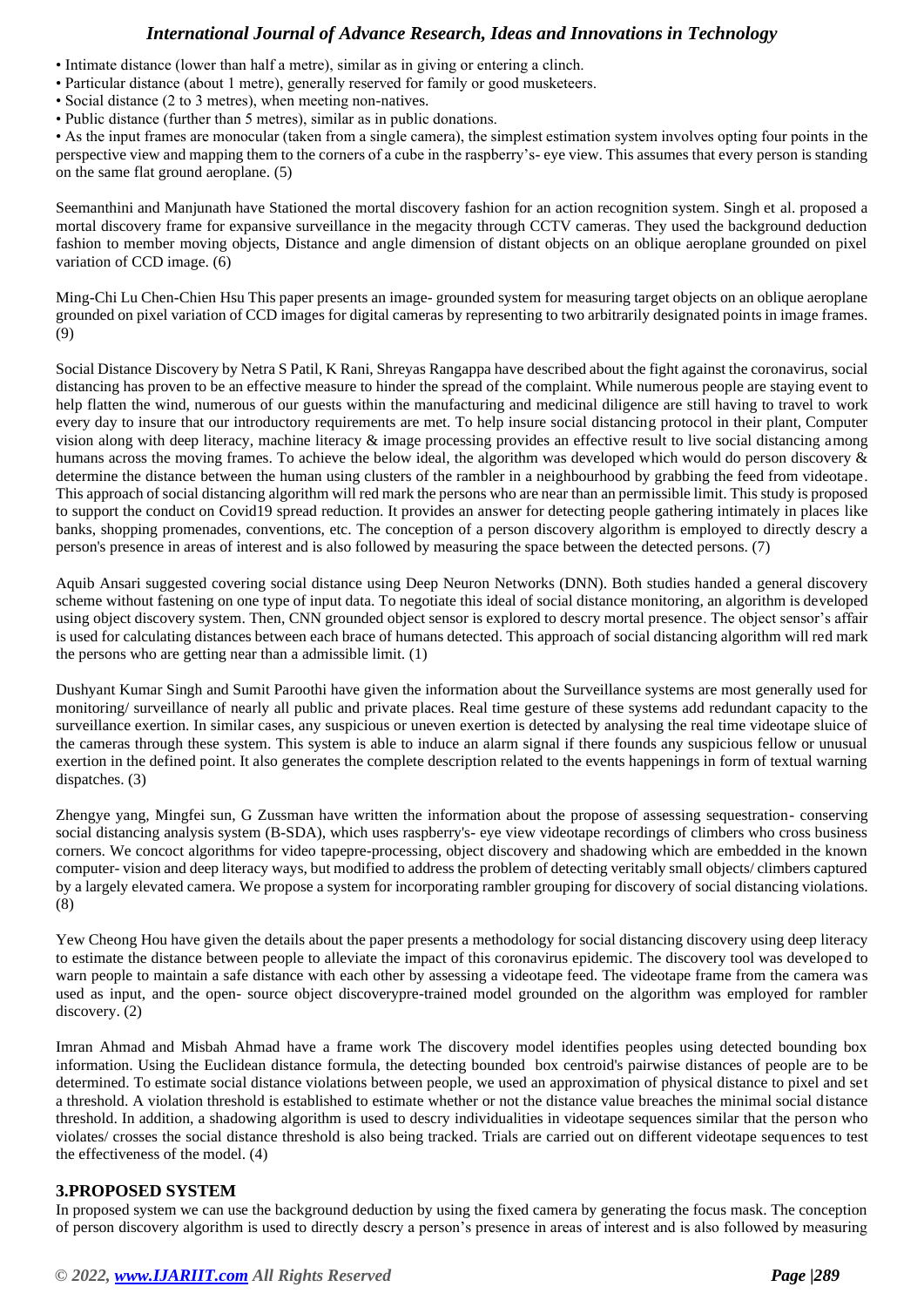# *International Journal of Advance Research, Ideas and Innovations in Technology*

- Intimate distance (lower than half a metre), similar as in giving or entering a clinch.
- Particular distance (about 1 metre), generally reserved for family or good musketeers.
- Social distance (2 to 3 metres), when meeting non-natives.
- Public distance (further than 5 metres), similar as in public donations.

• As the input frames are monocular (taken from a single camera), the simplest estimation system involves opting four points in the perspective view and mapping them to the corners of a cube in the raspberry's- eye view. This assumes that every person is standing on the same flat ground aeroplane. (5)

Seemanthini and Manjunath have Stationed the mortal discovery fashion for an action recognition system. Singh et al. proposed a mortal discovery frame for expansive surveillance in the megacity through CCTV cameras. They used the background deduction fashion to member moving objects, Distance and angle dimension of distant objects on an oblique aeroplane grounded on pixel variation of CCD image. (6)

Ming-Chi Lu Chen-Chien Hsu This paper presents an image- grounded system for measuring target objects on an oblique aeroplane grounded on pixel variation of CCD images for digital cameras by representing to two arbitrarily designated points in image frames. (9)

Social Distance Discovery by Netra S Patil, K Rani, Shreyas Rangappa have described about the fight against the coronavirus, social distancing has proven to be an effective measure to hinder the spread of the complaint. While numerous people are staying event to help flatten the wind, numerous of our guests within the manufacturing and medicinal diligence are still having to travel to work every day to insure that our introductory requirements are met. To help insure social distancing protocol in their plant, Computer vision along with deep literacy, machine literacy & image processing provides an effective result to live social distancing among humans across the moving frames. To achieve the below ideal, the algorithm was developed which would do person discovery & determine the distance between the human using clusters of the rambler in a neighbourhood by grabbing the feed from videotape. This approach of social distancing algorithm will red mark the persons who are near than an permissible limit. This study is proposed to support the conduct on Covid19 spread reduction. It provides an answer for detecting people gathering intimately in places like banks, shopping promenades, conventions, etc. The conception of a person discovery algorithm is employed to directly descry a person's presence in areas of interest and is also followed by measuring the space between the detected persons. (7)

Aquib Ansari suggested covering social distance using Deep Neuron Networks (DNN). Both studies handed a general discovery scheme without fastening on one type of input data. To negotiate this ideal of social distance monitoring, an algorithm is developed using object discovery system. Then, CNN grounded object sensor is explored to descry mortal presence. The object sensor's affair is used for calculating distances between each brace of humans detected. This approach of social distancing algorithm will red mark the persons who are getting near than a admissible limit. (1)

Dushyant Kumar Singh and Sumit Paroothi have given the information about the Surveillance systems are most generally used for monitoring/ surveillance of nearly all public and private places. Real time gesture of these systems add redundant capacity to the surveillance exertion. In similar cases, any suspicious or uneven exertion is detected by analysing the real time videotape sluice of the cameras through these system. This system is able to induce an alarm signal if there founds any suspicious fellow or unusual exertion in the defined point. It also generates the complete description related to the events happenings in form of textual warning dispatches. (3)

Zhengye yang, Mingfei sun, G Zussman have written the information about the propose of assessing sequestration- conserving social distancing analysis system (B-SDA), which uses raspberry's- eye view videotape recordings of climbers who cross business corners. We concoct algorithms for video tapepre-processing, object discovery and shadowing which are embedded in the known computer- vision and deep literacy ways, but modified to address the problem of detecting veritably small objects/ climbers captured by a largely elevated camera. We propose a system for incorporating rambler grouping for discovery of social distancing violations. (8)

Yew Cheong Hou have given the details about the paper presents a methodology for social distancing discovery using deep literacy to estimate the distance between people to alleviate the impact of this coronavirus epidemic. The discovery tool was developed to warn people to maintain a safe distance with each other by assessing a videotape feed. The videotape frame from the camera was used as input, and the open- source object discoverypre-trained model grounded on the algorithm was employed for rambler discovery. (2)

Imran Ahmad and Misbah Ahmad have a frame work The discovery model identifies peoples using detected bounding box information. Using the Euclidean distance formula, the detecting bounded box centroid's pairwise distances of people are to be determined. To estimate social distance violations between people, we used an approximation of physical distance to pixel and set a threshold. A violation threshold is established to estimate whether or not the distance value breaches the minimal social distance threshold. In addition, a shadowing algorithm is used to descry individualities in videotape sequences similar that the person who violates/ crosses the social distance threshold is also being tracked. Trials are carried out on different videotape sequences to test the effectiveness of the model. (4)

### **3.PROPOSED SYSTEM**

In proposed system we can use the background deduction by using the fixed camera by generating the focus mask. The conception of person discovery algorithm is used to directly descry a person's presence in areas of interest and is also followed by measuring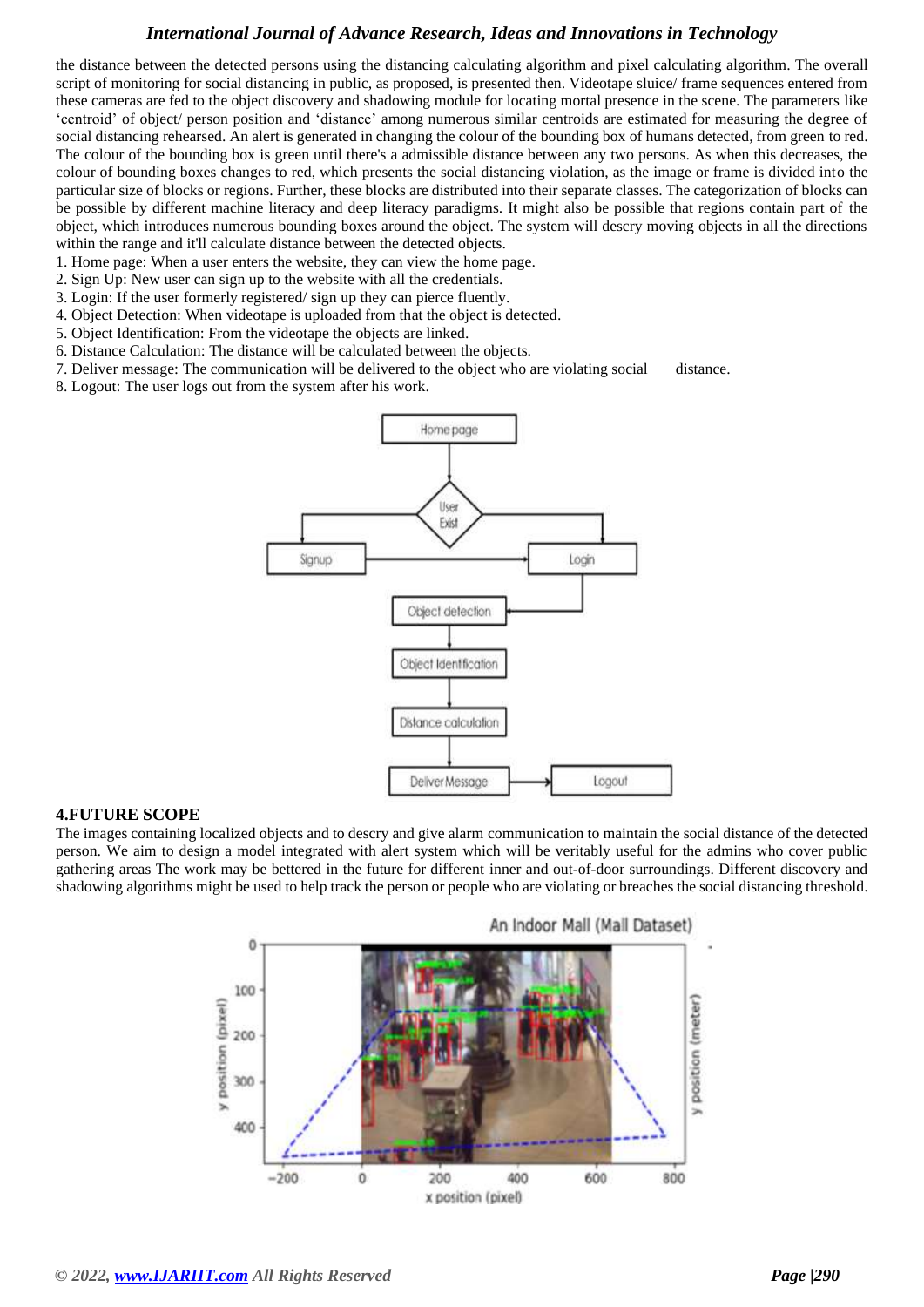# *International Journal of Advance Research, Ideas and Innovations in Technology*

the distance between the detected persons using the distancing calculating algorithm and pixel calculating algorithm. The overall script of monitoring for social distancing in public, as proposed, is presented then. Videotape sluice/ frame sequences entered from these cameras are fed to the object discovery and shadowing module for locating mortal presence in the scene. The parameters like 'centroid' of object/ person position and 'distance' among numerous similar centroids are estimated for measuring the degree of social distancing rehearsed. An alert is generated in changing the colour of the bounding box of humans detected, from green to red. The colour of the bounding box is green until there's a admissible distance between any two persons. As when this decreases, the colour of bounding boxes changes to red, which presents the social distancing violation, as the image or frame is divided into the particular size of blocks or regions. Further, these blocks are distributed into their separate classes. The categorization of blocks can be possible by different machine literacy and deep literacy paradigms. It might also be possible that regions contain part of the object, which introduces numerous bounding boxes around the object. The system will descry moving objects in all the directions within the range and it'll calculate distance between the detected objects.

- 1. Home page: When a user enters the website, they can view the home page.
- 2. Sign Up: New user can sign up to the website with all the credentials.
- 3. Login: If the user formerly registered/ sign up they can pierce fluently.
- 4. Object Detection: When videotape is uploaded from that the object is detected.
- 5. Object Identification: From the videotape the objects are linked.
- 6. Distance Calculation: The distance will be calculated between the objects.
- 7. Deliver message: The communication will be delivered to the object who are violating social distance.
- 8. Logout: The user logs out from the system after his work.



### **4.FUTURE SCOPE**

The images containing localized objects and to descry and give alarm communication to maintain the social distance of the detected person. We aim to design a model integrated with alert system which will be veritably useful for the admins who cover public gathering areas The work may be bettered in the future for different inner and out-of-door surroundings. Different discovery and shadowing algorithms might be used to help track the person or people who are violating or breaches the social distancing threshold.